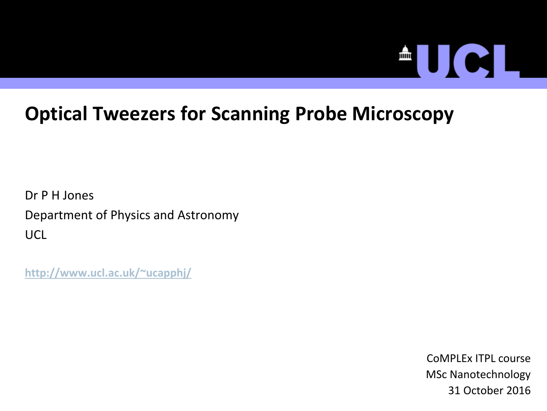# **AUCI**

## **Optical Tweezers for Scanning Probe Microscopy**

Dr P H Jones Department of Physics and Astronomy UCL

**<http://www.ucl.ac.uk/~ucapphj/>**

CoMPLEx ITPL course MSc Nanotechnology 31 October 2016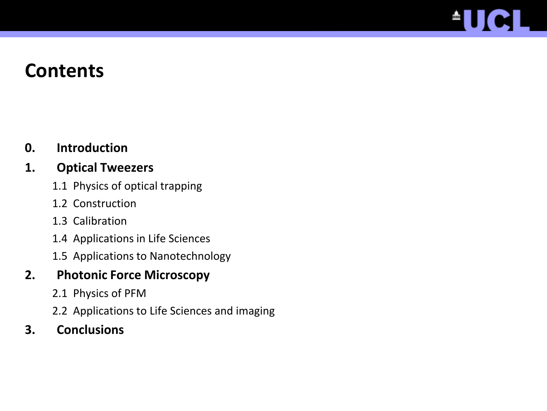# $\blacksquare$

### **Contents**

#### **0. Introduction**

#### **1. Optical Tweezers**

- 1.1 Physics of optical trapping
- 1.2 Construction
- 1.3 Calibration
- 1.4 Applications in Life Sciences
- 1.5 Applications to Nanotechnology

#### **2. Photonic Force Microscopy**

- 2.1 Physics of PFM
- 2.2 Applications to Life Sciences and imaging

#### **3. Conclusions**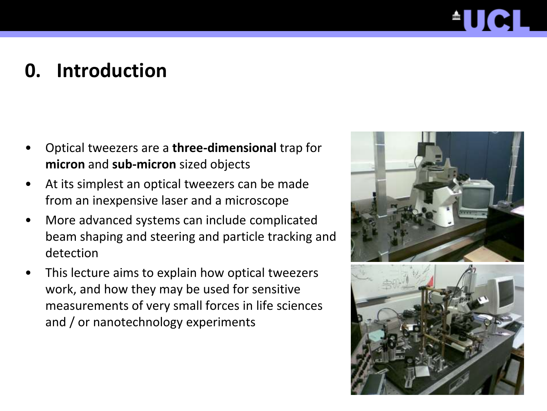# $\blacksquare$

### **0. Introduction**

- Optical tweezers are a **three-dimensional** trap for **micron** and **sub-micron** sized objects
- At its simplest an optical tweezers can be made from an inexpensive laser and a microscope
- More advanced systems can include complicated beam shaping and steering and particle tracking and detection
- This lecture aims to explain how optical tweezers work, and how they may be used for sensitive measurements of very small forces in life sciences and / or nanotechnology experiments

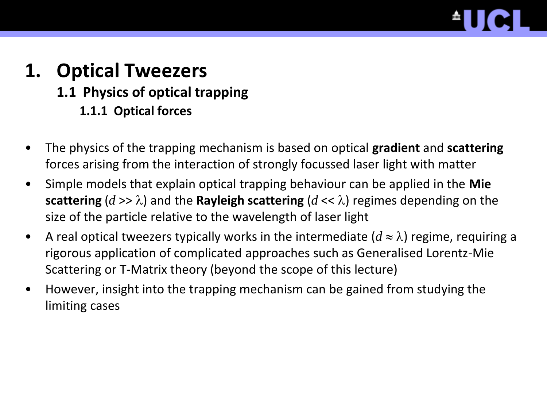

#### **1.1 Physics of optical trapping**

- **1.1.1 Optical forces**
- The physics of the trapping mechanism is based on optical **gradient** and **scattering** forces arising from the interaction of strongly focussed laser light with matter
- Simple models that explain optical trapping behaviour can be applied in the **Mie scattering** ( $d \gg \lambda$ ) and the **Rayleigh scattering** ( $d \ll \lambda$ ) regimes depending on the size of the particle relative to the wavelength of laser light
- A real optical tweezers typically works in the intermediate  $(d \approx \lambda)$  regime, requiring a rigorous application of complicated approaches such as Generalised Lorentz-Mie Scattering or T-Matrix theory (beyond the scope of this lecture)
- However, insight into the trapping mechanism can be gained from studying the limiting cases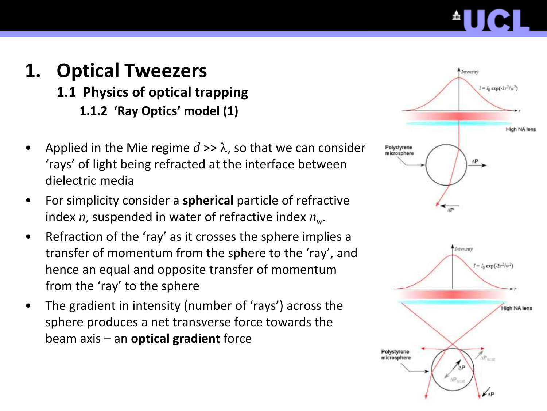### **1. Optical Tweezers 1.1 Physics of optical trapping 1.1.2 'Ray Optics' model (1)**

- Applied in the Mie regime  $d \gg \lambda$ , so that we can consider 'rays' of light being refracted at the interface between dielectric media
- For simplicity consider a **spherical** particle of refractive index *n*, suspended in water of refractive index *n<sup>w</sup>* .
- Refraction of the 'ray' as it crosses the sphere implies a transfer of momentum from the sphere to the 'ray', and hence an equal and opposite transfer of momentum from the 'ray' to the sphere
- The gradient in intensity (number of 'rays') across the sphere produces a net transverse force towards the beam axis – an **optical gradient** force

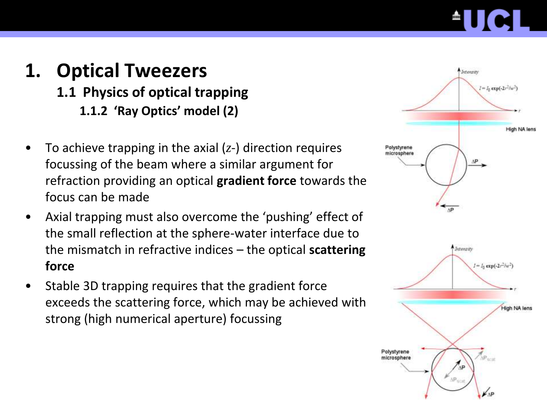### **1. Optical Tweezers 1.1 Physics of optical trapping 1.1.2 'Ray Optics' model (2)**

- To achieve trapping in the axial  $(z<sub>-</sub>)$  direction requires focussing of the beam where a similar argument for refraction providing an optical **gradient force** towards the focus can be made
- Axial trapping must also overcome the 'pushing' effect of the small reflection at the sphere-water interface due to the mismatch in refractive indices – the optical **scattering force**
- Stable 3D trapping requires that the gradient force exceeds the scattering force, which may be achieved with strong (high numerical aperture) focussing

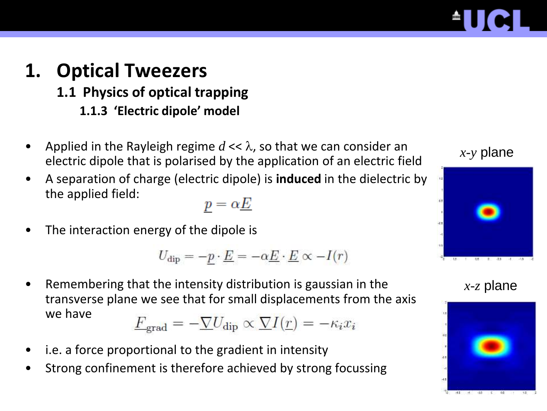**1.1 Physics of optical trapping** 

**1.1.3 'Electric dipole' model**

- Applied in the Rayleigh regime  $d \ll \lambda$ , so that we can consider an electric dipole that is polarised by the application of an electric field
- A separation of charge (electric dipole) is **induced** in the dielectric by the applied field:

$$
\underline{p} = \alpha \underline{E}
$$

The interaction energy of the dipole is

$$
U_{\rm dip} = -\underline{p} \cdot \underline{E} = -\alpha \underline{E} \cdot \underline{E} \propto -I(r)
$$

- Remembering that the intensity distribution is gaussian in the transverse plane we see that for small displacements from the axis we have  $\underline{F}_{\text{grad}} = -\underline{\nabla} U_{\text{dip}} \propto \underline{\nabla} I(r) = -\kappa_i x_i$
- i.e. a force proportional to the gradient in intensity
- Strong confinement is therefore achieved by strong focussing



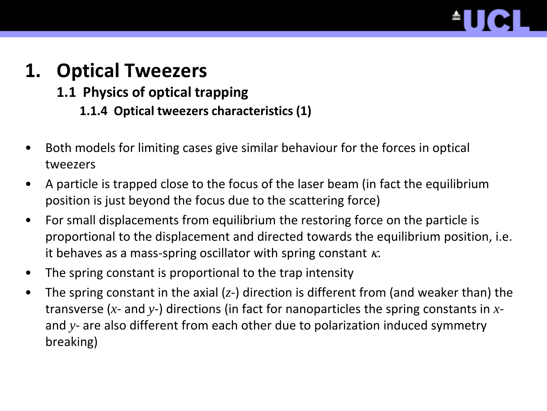

**1.1 Physics of optical trapping**

**1.1.4 Optical tweezers characteristics (1)**

- Both models for limiting cases give similar behaviour for the forces in optical tweezers
- A particle is trapped close to the focus of the laser beam (in fact the equilibrium position is just beyond the focus due to the scattering force)
- For small displacements from equilibrium the restoring force on the particle is proportional to the displacement and directed towards the equilibrium position, i.e. it behaves as a mass-spring oscillator with spring constant  $\kappa$ .
- The spring constant is proportional to the trap intensity
- The spring constant in the axial (*z*-) direction is different from (and weaker than) the transverse (*x*- and *y*-) directions (in fact for nanoparticles the spring constants in *x*and *y*- are also different from each other due to polarization induced symmetry breaking)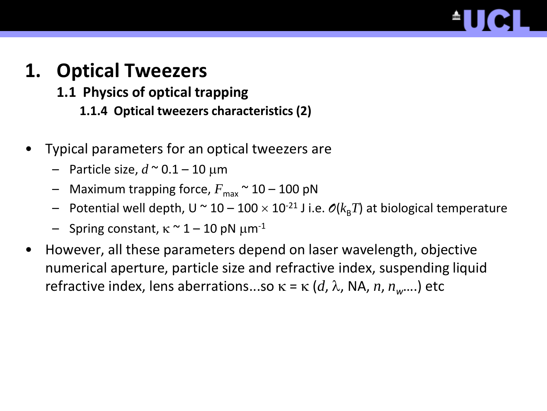**1.1 Physics of optical trapping**

**1.1.4 Optical tweezers characteristics (2)**

- Typical parameters for an optical tweezers are
	- $-$  Particle size,  $d \approx 0.1 10 \text{ µm}$
	- Maximum trapping force,  $F_{\text{max}} \approx 10 100 \text{ pN}$
	- Potential well depth,  $U \sim 10 100 \times 10^{-21}$  J i.e.  $O(k_B T)$  at biological temperature
	- Spring constant,  $\kappa \sim 1 10$  pN  $\mu$ m<sup>-1</sup>
- However, all these parameters depend on laser wavelength, objective numerical aperture, particle size and refractive index, suspending liquid refractive index, lens aberrations...so  $\kappa = \kappa$  (*d*,  $\lambda$ , NA, *n*,  $n_w$ ....) etc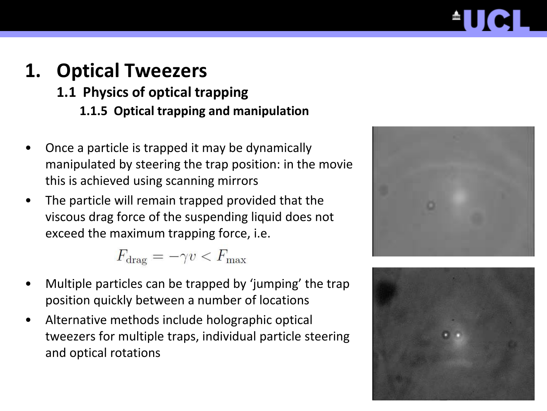#### **1.1 Physics of optical trapping**

**1.1.5 Optical trapping and manipulation**

- Once a particle is trapped it may be dynamically manipulated by steering the trap position: in the movie this is achieved using scanning mirrors
- The particle will remain trapped provided that the viscous drag force of the suspending liquid does not exceed the maximum trapping force, i.e.

$$
F_{\rm drag} = -\gamma v < F_{\rm max}
$$

- Multiple particles can be trapped by 'jumping' the trap position quickly between a number of locations
- Alternative methods include holographic optical tweezers for multiple traps, individual particle steering and optical rotations



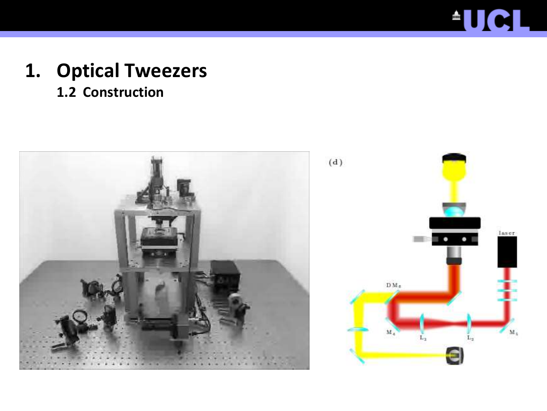# <u>EUCL</u>

### **1. Optical Tweezers 1.2 Construction**



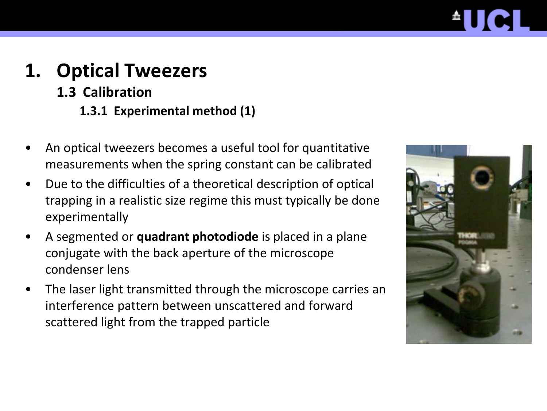- **1.3 Calibration**
	- **1.3.1 Experimental method (1)**
- An optical tweezers becomes a useful tool for quantitative measurements when the spring constant can be calibrated
- Due to the difficulties of a theoretical description of optical trapping in a realistic size regime this must typically be done experimentally
- A segmented or **quadrant photodiode** is placed in a plane conjugate with the back aperture of the microscope condenser lens
- The laser light transmitted through the microscope carries an interference pattern between unscattered and forward scattered light from the trapped particle

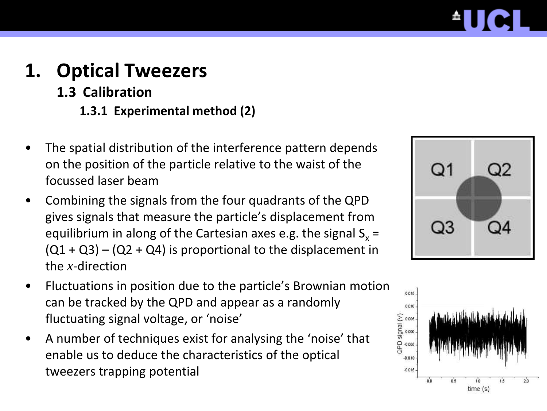- **1.3 Calibration**
	- **1.3.1 Experimental method (2)**
- The spatial distribution of the interference pattern depends on the position of the particle relative to the waist of the focussed laser beam
- Combining the signals from the four quadrants of the QPD gives signals that measure the particle's displacement from equilibrium in along of the Cartesian axes e.g. the signal  $S<sub>v</sub> =$  $(Q1 + Q3) - (Q2 + Q4)$  is proportional to the displacement in the *x*-direction
- Fluctuations in position due to the particle's Brownian motion can be tracked by the QPD and appear as a randomly fluctuating signal voltage, or 'noise'
- A number of techniques exist for analysing the 'noise' that enable us to deduce the characteristics of the optical tweezers trapping potential



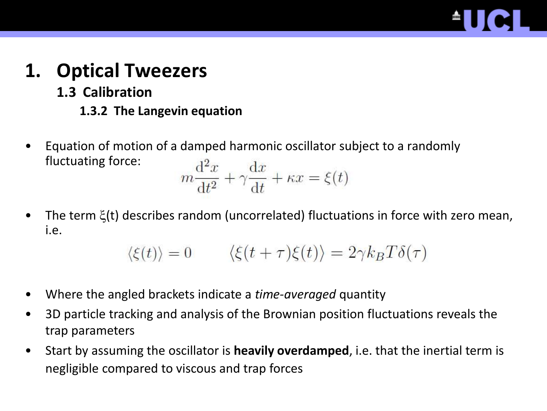

- **1.3 Calibration**
	- **1.3.2 The Langevin equation**
- Equation of motion of a damped harmonic oscillator subject to a randomly fluctuating force:  $1<sup>2</sup>$   $1<sup>2</sup>$

$$
m\frac{\mathrm{d}^2x}{\mathrm{d}t^2} + \gamma\frac{\mathrm{d}x}{\mathrm{d}t} + \kappa x = \xi(t)
$$

The term  $\xi(t)$  describes random (uncorrelated) fluctuations in force with zero mean, i.e.

$$
\langle \xi(t) \rangle = 0 \qquad \langle \xi(t+\tau)\xi(t) \rangle = 2\gamma k_B T \delta(\tau)
$$

- Where the angled brackets indicate a *time-averaged* quantity
- 3D particle tracking and analysis of the Brownian position fluctuations reveals the trap parameters
- Start by assuming the oscillator is **heavily overdamped**, i.e. that the inertial term is negligible compared to viscous and trap forces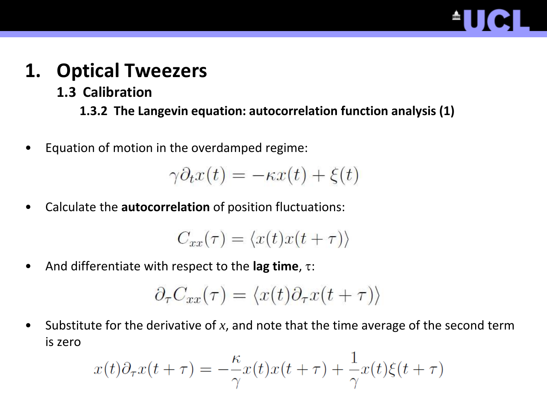

**1.3 Calibration**

**1.3.2 The Langevin equation: autocorrelation function analysis (1)**

• Equation of motion in the overdamped regime:

 $\gamma \partial_t x(t) = -\kappa x(t) + \xi(t)$ 

• Calculate the **autocorrelation** of position fluctuations:

 $C_{xx}(\tau) = \langle x(t)x(t+\tau) \rangle$ 

• And differentiate with respect to the **lag time**,  $\tau$ :

$$
\partial_{\tau} C_{xx}(\tau) = \langle x(t) \partial_{\tau} x(t + \tau) \rangle
$$

• Substitute for the derivative of *x*, and note that the time average of the second term is zero

$$
x(t)\partial_{\tau}x(t+\tau) = -\frac{\kappa}{\gamma}x(t)x(t+\tau) + \frac{1}{\gamma}x(t)\xi(t+\tau)
$$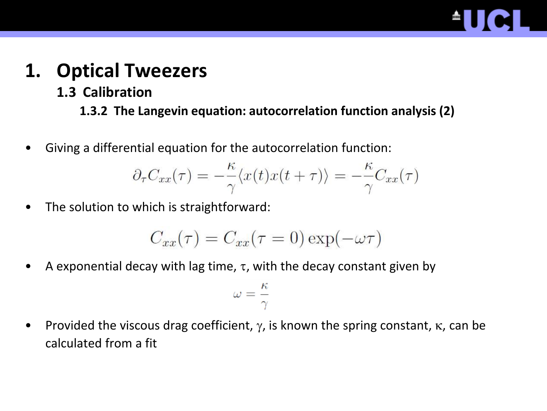

**1.3 Calibration**

**1.3.2 The Langevin equation: autocorrelation function analysis (2)**

• Giving a differential equation for the autocorrelation function:

$$
\partial_{\tau} C_{xx}(\tau) = -\frac{\kappa}{\gamma} \langle x(t)x(t+\tau) \rangle = -\frac{\kappa}{\gamma} C_{xx}(\tau)
$$

• The solution to which is straightforward:

$$
C_{xx}(\tau) = C_{xx}(\tau = 0) \exp(-\omega \tau)
$$

A exponential decay with lag time,  $\tau$ , with the decay constant given by

$$
\omega = \frac{\kappa}{\gamma}
$$

• Provided the viscous drag coefficient,  $\gamma$ , is known the spring constant,  $\kappa$ , can be calculated from a fit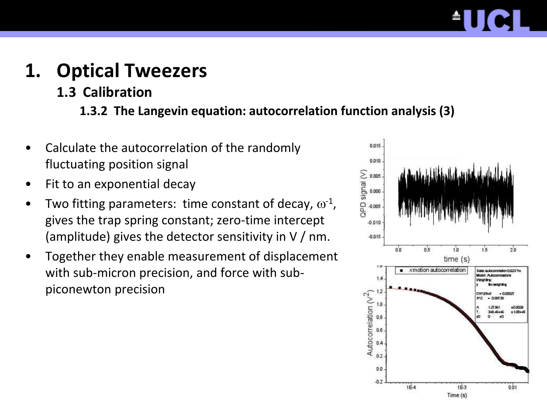**1.3 Calibration**

#### **1.3.2 The Langevin equation: autocorrelation function analysis (3)**

- Calculate the autocorrelation of the randomly fluctuating position signal
- Fit to an exponential decay
- Two fitting parameters: time constant of decay,  $\omega^1$ , gives the trap spring constant; zero-time intercept (amplitude) gives the detector sensitivity in V / nm.
- Together they enable measurement of displacement with sub-micron precision, and force with subpiconewton precision

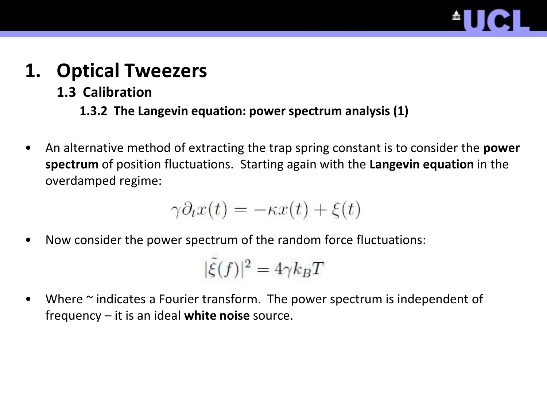

**1.3 Calibration**

**1.3.2 The Langevin equation: power spectrum analysis (1)**

• An alternative method of extracting the trap spring constant is to consider the **power spectrum** of position fluctuations. Starting again with the **Langevin equation** in the overdamped regime:

$$
\gamma \partial_t x(t) = -\kappa x(t) + \xi(t)
$$

• Now consider the power spectrum of the random force fluctuations:

$$
|\tilde{\xi}(f)|^2=4\gamma k_BT
$$

• Where  $\sim$  indicates a Fourier transform. The power spectrum is independent of frequency – it is an ideal **white noise** source.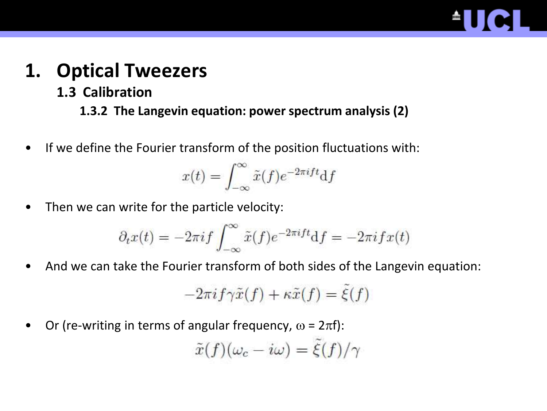**1.3 Calibration**

#### **1.3.2 The Langevin equation: power spectrum analysis (2)**

• If we define the Fourier transform of the position fluctuations with:

$$
x(t) = \int_{-\infty}^{\infty} \tilde{x}(f)e^{-2\pi i f t} df
$$

• Then we can write for the particle velocity:

$$
\partial_t x(t) = -2\pi i f \int_{-\infty}^{\infty} \tilde{x}(f) e^{-2\pi i f t} df = -2\pi i f x(t)
$$

• And we can take the Fourier transform of both sides of the Langevin equation:

$$
-2\pi i f \gamma \tilde{x}(f) + \kappa \tilde{x}(f) = \tilde{\xi}(f)
$$

Or (re-writing in terms of angular frequency,  $\omega = 2\pi f$ ):

$$
\tilde{x}(f)(\omega_c - i\omega) = \tilde{\xi}(f)/\gamma
$$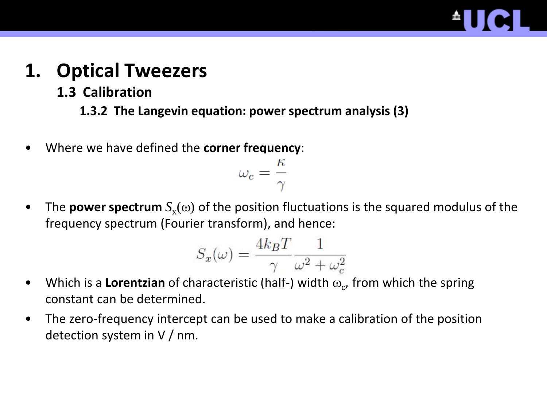

**1.3 Calibration**

**1.3.2 The Langevin equation: power spectrum analysis (3)**

• Where we have defined the **corner frequency**:

$$
\omega_c=\frac{\kappa}{\gamma}
$$

• The **power spectrum**  $S_x(\omega)$  of the position fluctuations is the squared modulus of the frequency spectrum (Fourier transform), and hence:

$$
S_x(\omega) = \frac{4k_BT}{\gamma} \frac{1}{\omega^2 + \omega_c^2}
$$

- Which is a **Lorentzian** of characteristic (half-) width  $\omega_c$ , from which the spring constant can be determined.
- The zero-frequency intercept can be used to make a calibration of the position detection system in V / nm.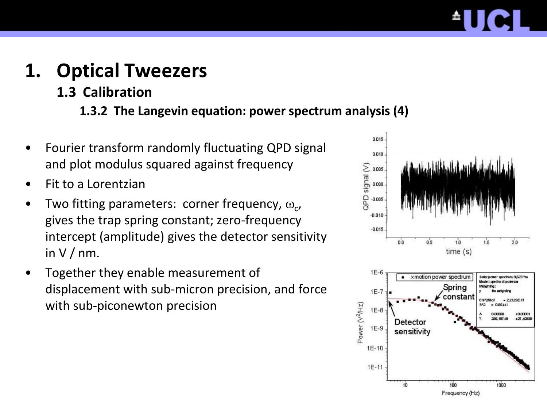- **1.3 Calibration**
	- **1.3.2 The Langevin equation: power spectrum analysis (4)**
- Fourier transform randomly fluctuating QPD signal and plot modulus squared against frequency
- Fit to a Lorentzian
- Two fitting parameters: corner frequency,  $\omega_{c}$ , gives the trap spring constant; zero-frequency intercept (amplitude) gives the detector sensitivity in  $V / nm$ .
- Together they enable measurement of displacement with sub-micron precision, and force with sub-piconewton precision



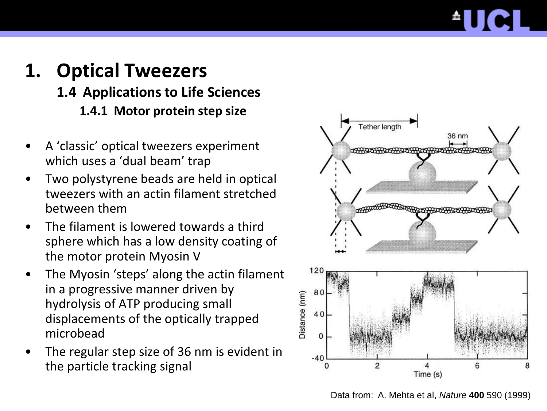### **1. Optical Tweezers 1.4 Applications to Life Sciences 1.4.1 Motor protein step size**

- A 'classic' optical tweezers experiment which uses a 'dual beam' trap
- Two polystyrene beads are held in optical tweezers with an actin filament stretched between them
- The filament is lowered towards a third sphere which has a low density coating of the motor protein Myosin V
- The Myosin 'steps' along the actin filament in a progressive manner driven by hydrolysis of ATP producing small displacements of the optically trapped microbead
- The regular step size of 36 nm is evident in the particle tracking signal



Data from: A. Mehta et al, *Nature* **400** 590 (1999)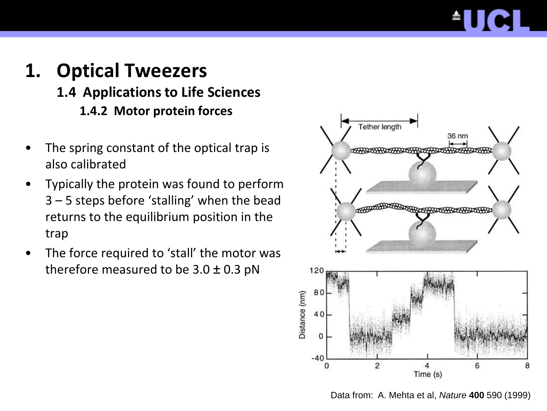### **1. Optical Tweezers 1.4 Applications to Life Sciences 1.4.2 Motor protein forces**

- The spring constant of the optical trap is also calibrated
- Typically the protein was found to perform 3 – 5 steps before 'stalling' when the bead returns to the equilibrium position in the trap
- The force required to 'stall' the motor was therefore measured to be  $3.0 \pm 0.3$  pN



Data from: A. Mehta et al, *Nature* **400** 590 (1999)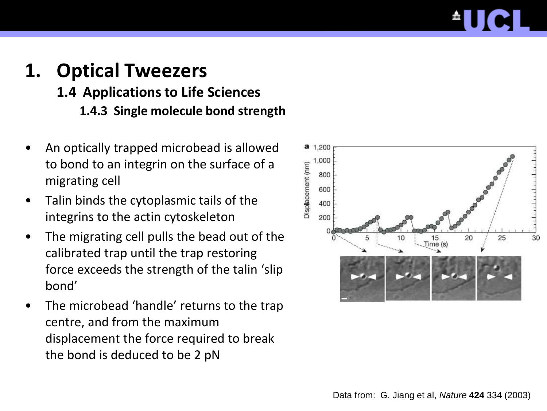#### **1.4 Applications to Life Sciences**

**1.4.3 Single molecule bond strength**

- An optically trapped microbead is allowed to bond to an integrin on the surface of a migrating cell
- Talin binds the cytoplasmic tails of the integrins to the actin cytoskeleton
- The migrating cell pulls the bead out of the calibrated trap until the trap restoring force exceeds the strength of the talin 'slip bond'
- The microbead 'handle' returns to the trap centre, and from the maximum displacement the force required to break the bond is deduced to be 2 pN

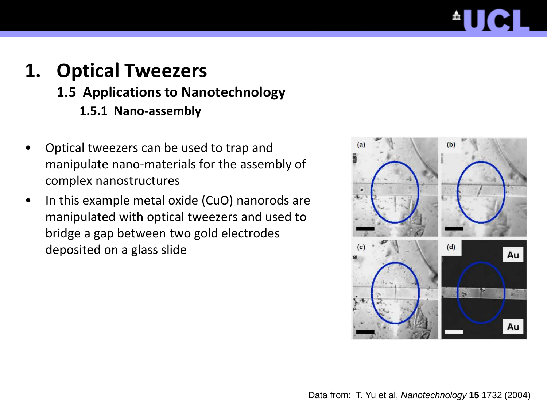# $\blacksquare$

### **1. Optical Tweezers 1.5 Applications to Nanotechnology 1.5.1 Nano-assembly**

- Optical tweezers can be used to trap and manipulate nano-materials for the assembly of complex nanostructures
- In this example metal oxide (CuO) nanorods are manipulated with optical tweezers and used to bridge a gap between two gold electrodes deposited on a glass slide

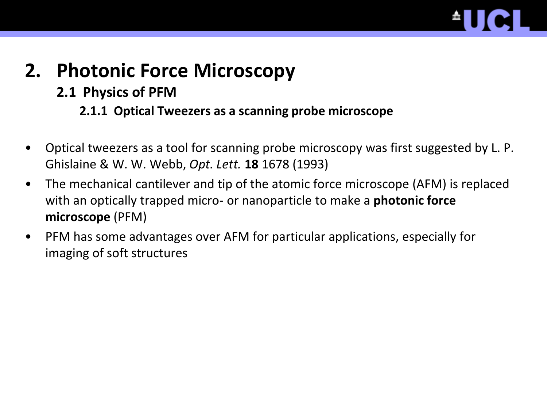

#### **2.1 Physics of PFM**

**2.1.1 Optical Tweezers as a scanning probe microscope**

- Optical tweezers as a tool for scanning probe microscopy was first suggested by L. P. Ghislaine & W. W. Webb, *Opt. Lett.* **18** 1678 (1993)
- The mechanical cantilever and tip of the atomic force microscope (AFM) is replaced with an optically trapped micro- or nanoparticle to make a **photonic force microscope** (PFM)
- PFM has some advantages over AFM for particular applications, especially for imaging of soft structures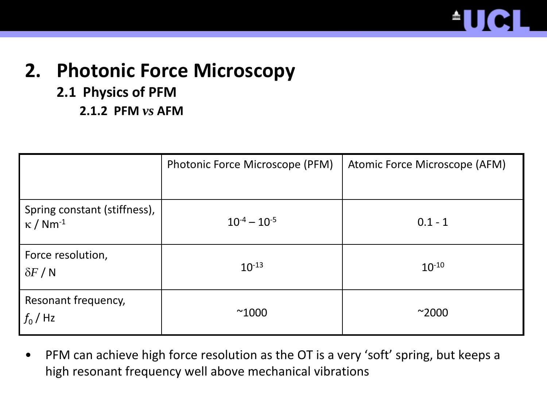

- **2.1 Physics of PFM**
	- **2.1.2 PFM** *vs* **AFM**

|                                                             | Photonic Force Microscope (PFM) | Atomic Force Microscope (AFM) |
|-------------------------------------------------------------|---------------------------------|-------------------------------|
| Spring constant (stiffness),<br>$\kappa$ / Nm <sup>-1</sup> | $10^{-4} - 10^{-5}$             | $0.1 - 1$                     |
| Force resolution,<br>$\delta F/N$                           | $10^{-13}$                      | $10^{-10}$                    |
| Resonant frequency,<br>$f_0$ / Hz                           | $^{\sim}1000$                   | $^{\sim}2000$                 |

• PFM can achieve high force resolution as the OT is a very 'soft' spring, but keeps a high resonant frequency well above mechanical vibrations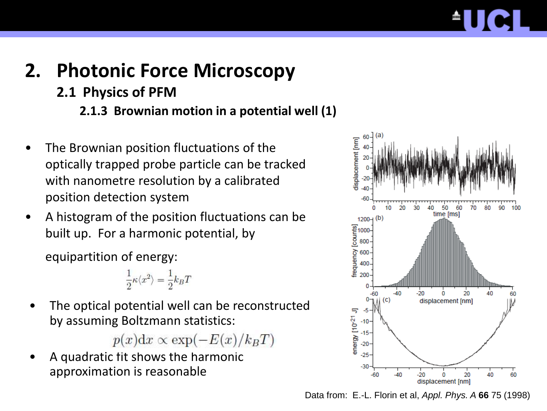#### **2.1 Physics of PFM**

**2.1.3 Brownian motion in a potential well (1)**

- The Brownian position fluctuations of the optically trapped probe particle can be tracked with nanometre resolution by a calibrated position detection system
- A histogram of the position fluctuations can be built up. For a harmonic potential, by

equipartition of energy:

$$
\frac{1}{2}\kappa \langle x^2\rangle = \frac{1}{2}k_BT
$$

The optical potential well can be reconstructed by assuming Boltzmann statistics:

 $p(x)dx \propto \exp(-E(x)/k_BT)$ 

• A quadratic fit shows the harmonic approximation is reasonable



Data from: E.-L. Florin et al, *Appl. Phys. A* **66** 75 (1998)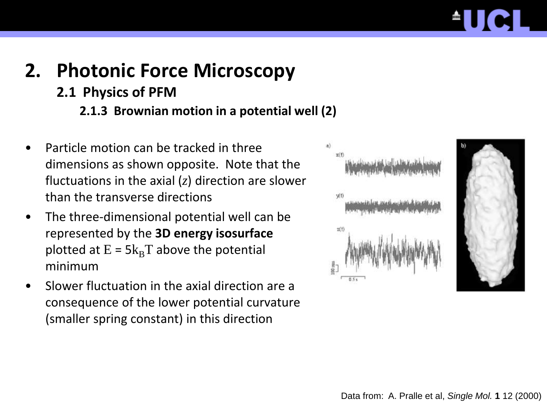#### **2.1 Physics of PFM**

#### **2.1.3 Brownian motion in a potential well (2)**

- Particle motion can be tracked in three dimensions as shown opposite. Note that the fluctuations in the axial (*z*) direction are slower than the transverse directions
- The three-dimensional potential well can be represented by the **3D energy isosurface**  plotted at  $E = 5k_BT$  above the potential minimum
- Slower fluctuation in the axial direction are a consequence of the lower potential curvature (smaller spring constant) in this direction



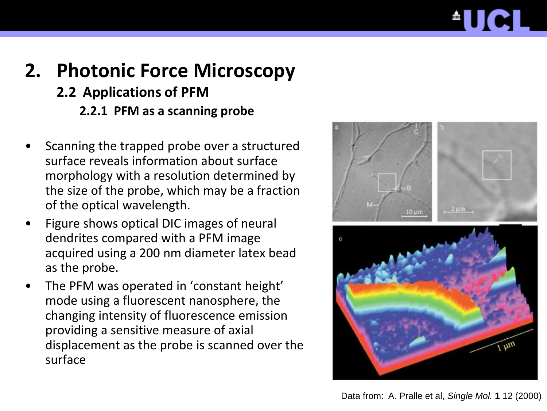# <sup>A</sup>UC

### **2. Photonic Force Microscopy 2.2 Applications of PFM 2.2.1 PFM as a scanning probe**

- Scanning the trapped probe over a structured surface reveals information about surface morphology with a resolution determined by the size of the probe, which may be a fraction of the optical wavelength.
- Figure shows optical DIC images of neural dendrites compared with a PFM image acquired using a 200 nm diameter latex bead as the probe.
- The PFM was operated in 'constant height' mode using a fluorescent nanosphere, the changing intensity of fluorescence emission providing a sensitive measure of axial displacement as the probe is scanned over the surface

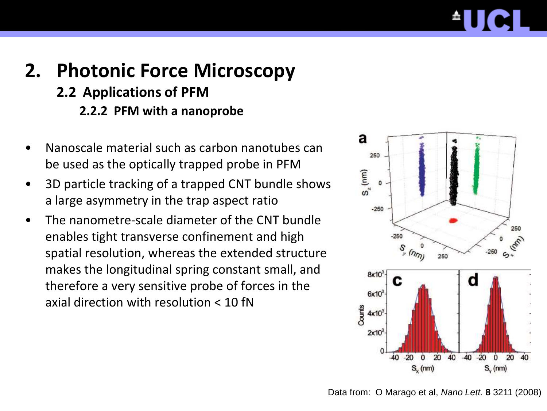### **2. Photonic Force Microscopy 2.2 Applications of PFM 2.2.2 PFM with a nanoprobe**

- Nanoscale material such as carbon nanotubes can be used as the optically trapped probe in PFM
- 3D particle tracking of a trapped CNT bundle shows a large asymmetry in the trap aspect ratio
- The nanometre-scale diameter of the CNT bundle enables tight transverse confinement and high spatial resolution, whereas the extended structure makes the longitudinal spring constant small, and therefore a very sensitive probe of forces in the axial direction with resolution < 10 fN



Data from: O Marago et al, *Nano Lett.* **8** 3211 (2008)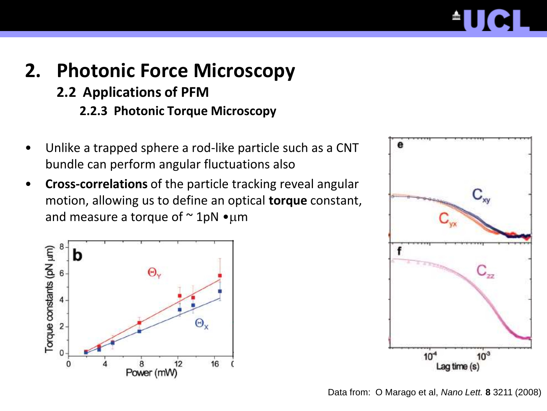# mine and the second series of the series of the series of the series of the series of the series of the series of the series of the series of the series of the series of the series of the series of the series of the series

### **2. Photonic Force Microscopy 2.2 Applications of PFM 2.2.3 Photonic Torque Microscopy**

- Unlike a trapped sphere a rod-like particle such as a CNT bundle can perform angular fluctuations also
- **Cross-correlations** of the particle tracking reveal angular motion, allowing us to define an optical **torque** constant, and measure a torque of  $\sim$  1pN  $\bullet \mu$ m





Data from: O Marago et al, *Nano Lett.* **8** 3211 (2008)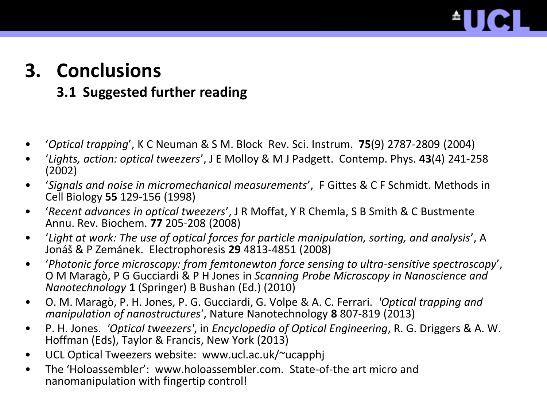## **3. Conclusions**

#### **3.1 Suggested further reading**

- '*Optical trapping*', K C Neuman & S M. Block Rev. Sci. Instrum. **75**(9) 2787-2809 (2004)
- '*Lights, action: optical tweezers*', J E Molloy & M J Padgett. Contemp. Phys. **43**(4) 241-258 (2002)
- '*Signals and noise in micromechanical measurements*', F Gittes & C F Schmidt. Methods in Cell Biology **55** 129-156 (1998)
- '*Recent advances in optical tweezers*', J R Moffat, Y R Chemla, S B Smith & C Bustmente Annu. Rev. Biochem. **77** 205-208 (2008)
- '*Light at work: The use of optical forces for particle manipulation, sorting, and analysis*', A Jonáš & P Zemánek. Electrophoresis **29** 4813-4851 (2008)
- '*Photonic force microscopy: from femtonewton force sensing to ultra-sensitive spectroscopy*', O M Maragò, P G Gucciardi & P H Jones in *Scanning Probe Microscopy in Nanoscience and Nanotechnology* **1** (Springer) B Bushan (Ed.) (2010)
- O. M. Maragò, P. H. Jones, P. G. Gucciardi, G. Volpe & A. C. Ferrari. *'Optical trapping and manipulation of nanostructures*', Nature Nanotechnology **8** 807-819 (2013)
- P. H. Jones. *'Optical tweezers'*, in *Encyclopedia of Optical Engineering*, R. G. Driggers & A. W. Hoffman (Eds), Taylor & Francis, New York (2013)
- UCL Optical Tweezers website: www.ucl.ac.uk/~ucapphj
- The 'Holoassembler': www.holoassembler.com. State-of-the art micro and nanomanipulation with fingertip control!